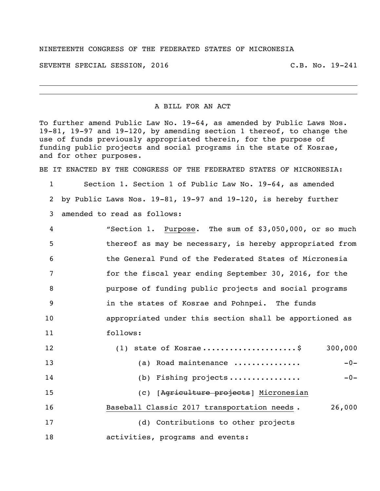## NINETEENTH CONGRESS OF THE FEDERATED STATES OF MICRONESIA

SEVENTH SPECIAL SESSION, 2016 C.B. No. 19-241

A BILL FOR AN ACT

To further amend Public Law No. 19-64, as amended by Public Laws Nos. 19-81, 19-97 and 19-120, by amending section 1 thereof, to change the use of funds previously appropriated therein, for the purpose of funding public projects and social programs in the state of Kosrae, and for other purposes.

BE IT ENACTED BY THE CONGRESS OF THE FEDERATED STATES OF MICRONESIA:

 Section 1. Section 1 of Public Law No. 19-64, as amended by Public Laws Nos. 19-81, 19-97 and 19-120, is hereby further amended to read as follows:

| $\overline{4}$ | "Section 1. Purpose. The sum of \$3,050,000, or so much  |
|----------------|----------------------------------------------------------|
| -5             | thereof as may be necessary, is hereby appropriated from |
| 6              | the General Fund of the Federated States of Micronesia   |
| 7              | for the fiscal year ending September 30, 2016, for the   |
| 8              | purpose of funding public projects and social programs   |
| - 9            | in the states of Kosrae and Pohnpei. The funds           |
| 10             | appropriated under this section shall be apportioned as  |
| 11             | follows:                                                 |

| 12 | $(1)$ state of Kosrae\$                     | 300,000 |
|----|---------------------------------------------|---------|
| 13 | Road maintenance<br>(a)                     | $-0-$   |
| 14 | (b) Fishing projects                        | $-0-$   |
| 15 | (c) [Agriculture projects] Micronesian      |         |
| 16 | Baseball Classic 2017 transportation needs. | 26,000  |
| 17 | (d) Contributions to other projects         |         |
| 18 | activities, programs and events:            |         |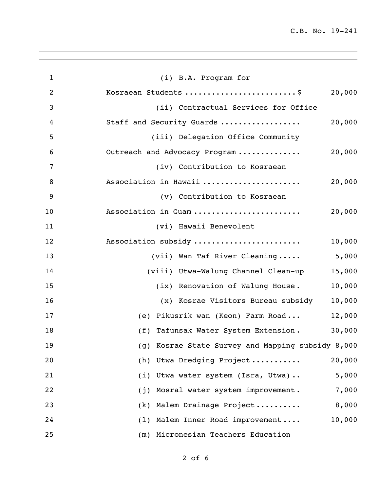| $\mathbf{1}$   | (i) B.A. Program for                              |
|----------------|---------------------------------------------------|
| $\overline{2}$ | Kosraean Students \$<br>20,000                    |
| 3              | (ii) Contractual Services for Office              |
| 4              | Staff and Security Guards<br>20,000               |
| 5              | (iii) Delegation Office Community                 |
| 6              | Outreach and Advocacy Program<br>20,000           |
| 7              | (iv) Contribution to Kosraean                     |
| 8              | Association in Hawaii<br>20,000                   |
| 9              | (v) Contribution to Kosraean                      |
| 10             | 20,000<br>Association in Guam                     |
| 11             | (vi) Hawaii Benevolent                            |
| 12             | Association subsidy<br>10,000                     |
| 13             | (vii) Wan Taf River Cleaning<br>5,000             |
| 14             | (viii) Utwa-Walung Channel Clean-up<br>15,000     |
| 15             | 10,000<br>(ix) Renovation of Walung House.        |
| 16             | 10,000<br>(x) Kosrae Visitors Bureau subsidy      |
| 17             | (e) Pikusrik wan (Keon) Farm Road<br>12,000       |
| 18             | 30,000<br>(f) Tafunsak Water System Extension.    |
| 19             | (g) Kosrae State Survey and Mapping subsidy 8,000 |
| 20             | Utwa Dredging Project<br>20,000<br>(h)            |
| 21             | Utwa water system (Isra, Utwa)<br>5,000<br>(i)    |
| 22             | Mosral water system improvement.<br>7,000<br>(j)  |
| 23             | 8,000<br>Malem Drainage Project<br>(k)            |
| 24             | 10,000<br>Malem Inner Road improvement<br>(1)     |
| 25             | (m) Micronesian Teachers Education                |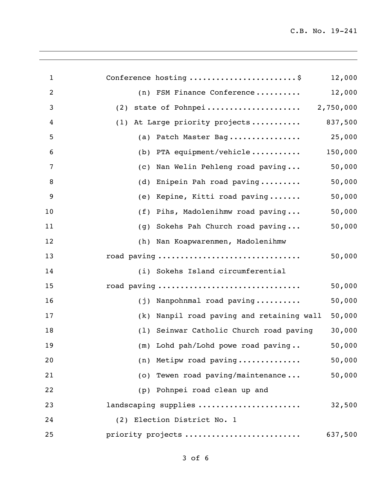| $\mathbf{1}$   | Conference hosting \$                        | 12,000  |
|----------------|----------------------------------------------|---------|
| $\overline{c}$ | (n) FSM Finance Conference                   | 12,000  |
| 3              | (2)                                          |         |
| 4              | At Large priority projects<br>(1)            | 837,500 |
| 5              | (a) Patch Master Bag                         | 25,000  |
| 6              | PTA equipment/vehicle<br>(b)                 | 150,000 |
| 7              | Nan Welin Pehleng road paving<br>(c)         | 50,000  |
| 8              | Enipein Pah road paving<br>(d)               | 50,000  |
| 9              | Kepine, Kitti road paving<br>(e)             | 50,000  |
| 10             | Pihs, Madolenihmw road paving<br>(f)         | 50,000  |
| 11             | Sokehs Pah Church road paving<br>(q)         | 50,000  |
| 12             | (h) Nan Koapwarenmen, Madolenihmw            |         |
| 13             | road paving                                  | 50,000  |
| 14             | (i) Sokehs Island circumferential            |         |
| 15             | road paving                                  | 50,000  |
| 16             | (j) Nanpohnmal road paving                   | 50,000  |
| 17             | Nanpil road paving and retaining wall<br>(k) | 50,000  |
| 18             | (1) Seinwar Catholic Church road paving      | 30,000  |
| 19             | (m) Lohd pah/Lohd powe road paving           | 50,000  |
| 20             | (n) Metipw road paving                       | 50,000  |
| 21             | (o) Tewen road paving/maintenance            | 50,000  |
| 22             | Pohnpei road clean up and<br>(p)             |         |
| 23             | landscaping supplies                         | 32,500  |
| 24             | (2) Election District No. 1                  |         |
| 25             | priority projects                            | 637,500 |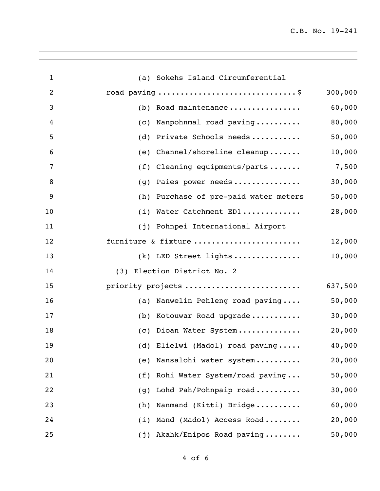C.B. No. 19-241

| $\mathbf{1}$   | (a) Sokehs Island Circumferential        |         |
|----------------|------------------------------------------|---------|
| $\overline{2}$ | road paving \$                           | 300,000 |
| 3              | (b) Road maintenance                     | 60,000  |
| $\overline{4}$ | Nanpohnmal road paving<br>(C)            | 80,000  |
| 5              | Private Schools needs<br>(d)             | 50,000  |
| 6              | Channel/shoreline cleanup<br>(e)         | 10,000  |
| $\overline{7}$ | (f) Cleaning equipments/parts            | 7,500   |
| 8              | Paies power needs<br>(g)                 | 30,000  |
| 9              | (h)<br>Purchase of pre-paid water meters | 50,000  |
| 10             | (i) Water Catchment ED1                  | 28,000  |
| 11             | (j) Pohnpei International Airport        |         |
| 12             | furniture & fixture                      | 12,000  |
| 13             | $(k)$ LED Street lights                  | 10,000  |
| 14             | (3) Election District No. 2              |         |
| 15             | priority projects                        | 637,500 |
| 16             | (a) Nanwelin Pehleng road paving         | 50,000  |
| 17             | Kotouwar Road upgrade<br>(b)             | 30,000  |
| 18             | (c) Dioan Water System                   | 20,000  |
| 19             | (d) Elielwi (Madol) road paving          | 40,000  |
| 20             | Nansalohi water system<br>(e)            | 20,000  |
| 21             | Rohi Water System/road paving<br>(f)     | 50,000  |
| 22             | Lohd Pah/Pohnpaip road<br>(g)            | 30,000  |
| 23             | Nanmand (Kitti) Bridge<br>(h)            | 60,000  |
| 24             | Mand (Madol) Access Road<br>(i)          | 20,000  |
| 25             | Akahk/Enipos Road paving<br>(j)          | 50,000  |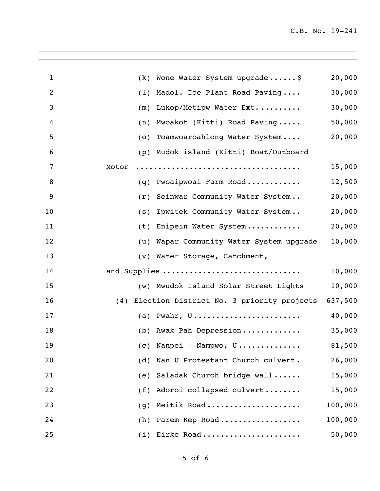| 1              | Wone Water System upgrade\$<br>(k)                    | 20,000  |
|----------------|-------------------------------------------------------|---------|
| $\overline{2}$ | Madol. Ice Plant Road Paving<br>(1)                   | 30,000  |
| 3              | Lukop/Metipw Water Ext<br>(m)                         | 30,000  |
| 4              | Mwoakot (Kitti) Road Paving<br>(n)                    | 50,000  |
| 5              | Toamwoaroahlong Water System<br>(0)                   | 20,000  |
| 6              | Mudok island (Kitti) Boat/Outboard<br>(p)             |         |
| 7              | Motor                                                 | 15,000  |
| 8              | Pwoaipwoai Farm Road<br>(q)                           | 12,500  |
| 9              | Seinwar Community Water System<br>(r)                 | 20,000  |
| 10             | Ipwitek Community Water System<br>(s)                 | 20,000  |
| 11             | Enipein Water System<br>(t)                           | 20,000  |
| 12             | (u) Wapar Community Water System upgrade              | 10,000  |
| 13             | (v) Water Storage, Catchment,                         |         |
| 14             | and Supplies                                          | 10,000  |
| 15             | (w) Mwudok Island Solar Street Lights                 | 10,000  |
| 16             | (4) Election District No. 3 priority projects 637,500 |         |
| 17             | (a) Pwahr, $U$                                        | 40,000  |
| 18             | (b) Awak Pah Depression                               | 35,000  |
| 19             | (c) Nanpei — Nampwo, U                                | 81,500  |
| 20             | Nan U Protestant Church culvert.<br>(d)               | 26,000  |
| 21             | Saladak Church bridge wall<br>(e)                     | 15,000  |
| 22             | Adoroi collapsed culvert<br>(f)                       | 15,000  |
| 23             | Meitik Road<br>(g)                                    | 100,000 |
| 24             | (h) Parem Kep Road                                    | 100,000 |
| 25             | (i) Eirke Road                                        | 50,000  |